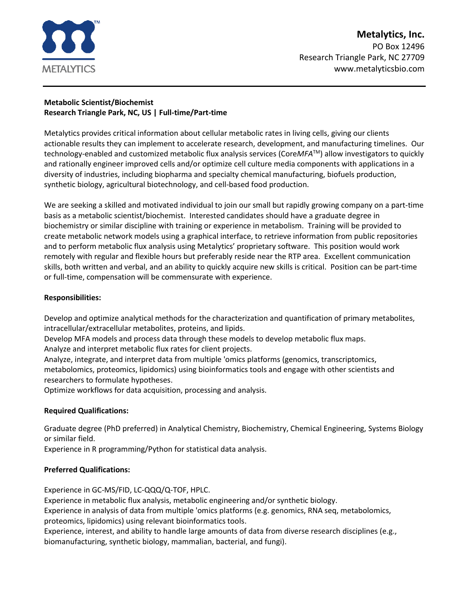

# **Metabolic Scientist/Biochemist Research Triangle Park, NC, US | Full-time/Part-time**

Metalytics provides critical information about cellular metabolic rates in living cells, giving our clients actionable results they can implement to accelerate research, development, and manufacturing timelines. Our technology-enabled and customized metabolic flux analysis services (Core*MFA*TM) allow investigators to quickly and rationally engineer improved cells and/or optimize cell culture media components with applications in a diversity of industries, including biopharma and specialty chemical manufacturing, biofuels production, synthetic biology, agricultural biotechnology, and cell-based food production.

We are seeking a skilled and motivated individual to join our small but rapidly growing company on a part-time basis as a metabolic scientist/biochemist. Interested candidates should have a graduate degree in biochemistry or similar discipline with training or experience in metabolism. Training will be provided to create metabolic network models using a graphical interface, to retrieve information from public repositories and to perform metabolic flux analysis using Metalytics' proprietary software. This position would work remotely with regular and flexible hours but preferably reside near the RTP area. Excellent communication skills, both written and verbal, and an ability to quickly acquire new skills is critical. Position can be part-time or full-time, compensation will be commensurate with experience.

# **Responsibilities:**

Develop and optimize analytical methods for the characterization and quantification of primary metabolites, intracellular/extracellular metabolites, proteins, and lipids.

Develop MFA models and process data through these models to develop metabolic flux maps.

Analyze and interpret metabolic flux rates for client projects.

Analyze, integrate, and interpret data from multiple 'omics platforms (genomics, transcriptomics, metabolomics, proteomics, lipidomics) using bioinformatics tools and engage with other scientists and researchers to formulate hypotheses.

Optimize workflows for data acquisition, processing and analysis.

# **Required Qualifications:**

Graduate degree (PhD preferred) in Analytical Chemistry, Biochemistry, Chemical Engineering, Systems Biology or similar field.

Experience in R programming/Python for statistical data analysis.

# **Preferred Qualifications:**

Experience in GC-MS/FID, LC-QQQ/Q-TOF, HPLC.

Experience in metabolic flux analysis, metabolic engineering and/or synthetic biology.

Experience in analysis of data from multiple 'omics platforms (e.g. genomics, RNA seq, metabolomics, proteomics, lipidomics) using relevant bioinformatics tools.

Experience, interest, and ability to handle large amounts of data from diverse research disciplines (e.g., biomanufacturing, synthetic biology, mammalian, bacterial, and fungi).